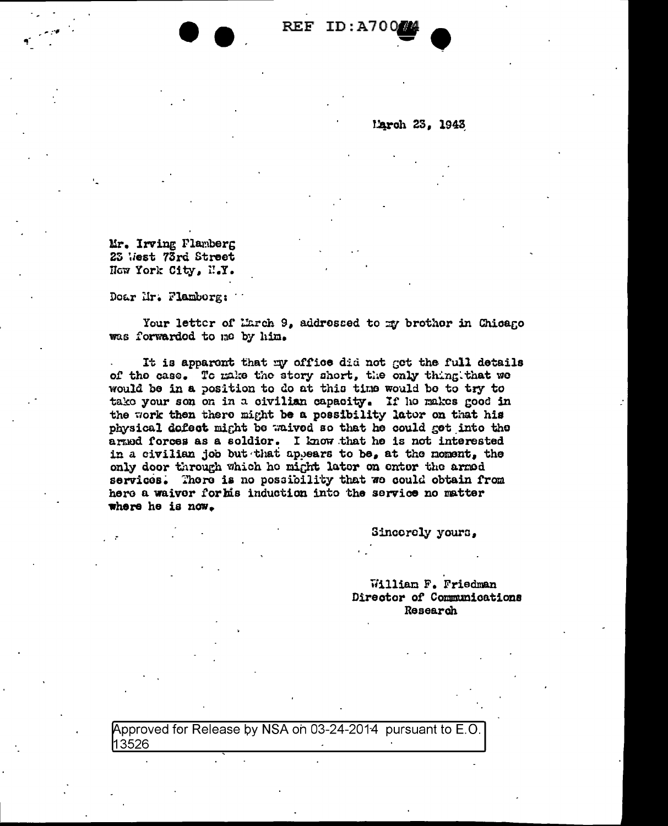REF ID:A700

March 23, 1943

Mr. Irving Plamberg 23 West 73rd Street Now York City, N.Y.

Doar Hr. Flamborg:

Your letter of March 9, addressed to my brother in Chicano was forwarded to me by him.

It is apparent that my office did not get the full details of the case. To make the story short, the only thing that we would be in a position to do at this time would be to try to take your son on in a civilian capacity. If he makes good in the work then there might be a possibility lator on that his physical defect might be waived so that he could get into the armed forces as a soldier. I know that he is not interested in a civilian job but that appears to be, at the moment, the only door through which he might later on enter the armed services. There is no possibility that we could obtain from here a waiver for his induction into the service no matter where he is now.

Sincorely yours,

William F. Friedman Director of Communications Research

Approved for Release by NSA on 03-24-2014 pursuant to E.O. 13526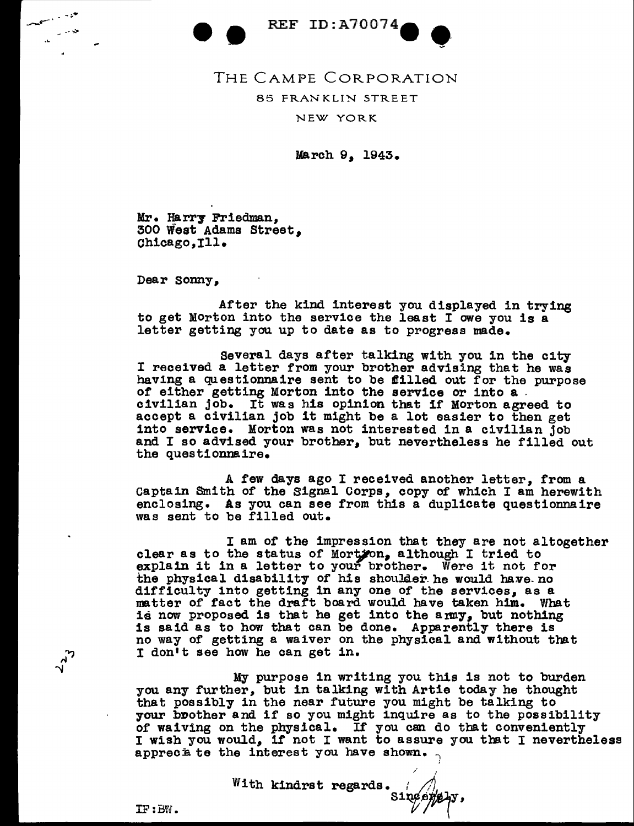REF ID: A70074

-- THE CAMPE CORPORATION 85 FRANKLIN STREET NEW YORK

March 9, 1943.

Mr. Harry Friedman, 300 West Adams Street, Chicago, Ill.

Dear sonny,

- -.:.•

*--...:.•* 

---~~

After the kind interest you displayed in trying to get Morton into the service the least I owe you is a letter getting you up to date as to progress made.

several days after talking with you in the city I received a letter from your brother advising that he was having a questionnaire sent to be filled out for the purpose of either getting Morton into the service or into a civilian job. It was his opinion that if Morton agreed to into service. Morton was not interested in a civilian job and I so advised your brother, but nevertheless he filled out the questionnaire.

A few days ago I received another letter, from a captain Smith of the Signal Corps, copy of which I am herewith enclosing. As you can see from this a duplicate questionnaire was sent to be filled out.

<sup>I</sup>am of the impression that they are not altogether clear as to the status of Mort $j$ on. although I tried to explain it in a letter to your brother. Were it not for the physical disability of his shoulder he would have no difficulty into getting in any one of the services, as a matter of fact the draft board would have taken him. What is now proposed is that he get into the army, but nothing is said as to how that can be done. Apparently there is no way of getting a waiver on the physical and without that I don't see how he can get in.

My purpose in writing you this is not to burden you any further, but in talking with Artie today he thought that possibly in the near future you might be talking to your brother and if so you might inquire as to the possibility of waiving on the physical. If you can do that conveniently <sup>I</sup>wish you would, if not I want to assure you that I nevertheless appreciate the interest you have shown.

*/* .

With kindrst regards.  $r \nearrow$  $\mathcal{L}$ 

 $IF : BW.$ 

 $\frac{2}{3}$